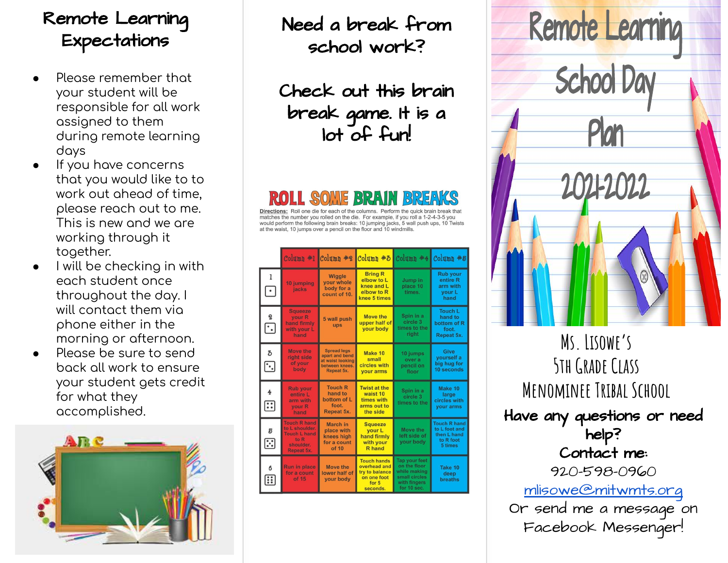# Remote Learning Expectations

- Please remember that your student will be responsible for all work assigned to them during remote learning days
- If you have concerns that you would like to to work out ahead of time, please reach out to me. This is new and we are working through it together.
- I will be checking in with each student once throughout the day. I will contact them via phone either in the morning or afternoon.
- Please be sure to send back all work to ensure your student gets credit for what they accomplished.



Need a break from school work?

Check out this brain break game. It is a lot of fun!

Directions: Roll one die for each of the columns. Perform the quick brain break that matches the number you rolled on the die. For example, if you roll a 1-2-4-3-5 you would perform the following brain breaks: 10 jumping jacks, 5 wall push ups, 10 Twists at the waist. 10 jumps over a pencil on the floor and 10 windmills.

|  |                                                |                                                                                                        | $Column + 1$ $Column + 2$                                                                |                                                                                          | Column #3 Column #4 Column #5                                                                        |                                                                             |
|--|------------------------------------------------|--------------------------------------------------------------------------------------------------------|------------------------------------------------------------------------------------------|------------------------------------------------------------------------------------------|------------------------------------------------------------------------------------------------------|-----------------------------------------------------------------------------|
|  | $\mathbf{1}$<br>$\lceil \cdot \rceil$          | 10 jumping<br>jacks                                                                                    | <b>Wiggle</b><br>your whole<br>body for a<br>count of 10.                                | <b>Bring R</b><br>elbow to L<br>knee and L<br>elbow to R<br>knee 5 times                 | Jump in<br>place 10<br>times.                                                                        | <b>Rub your</b><br>entire R<br>arm with<br>your L<br>hand                   |
|  | $\mathbf 2$<br>$\overline{\left[\cdot\right]}$ | <b>Squeeze</b><br><b>your R</b><br>hand firmly<br>with your L<br>hand                                  | 5 wall push<br>ups                                                                       | <b>Move the</b><br>upper half of<br>vour body                                            | Spin in a<br>circle 3<br>times to the<br>right                                                       | <b>Touch L</b><br>hand to<br>bottom of R<br>foot.<br>Repeat 5x.             |
|  | 3<br>$\Xi$                                     | <b>Move the</b><br>right side<br>of your<br>body                                                       | <b>Spread legs</b><br>apart and bend<br>at waist looking<br>between knees.<br>Repeat 5x. | Make 10<br>small<br>circles with<br><b>your arms</b>                                     | 10 jumps<br>over a<br>pencil on<br>floor                                                             | Give<br>vourself a<br>big hug for<br>10 seconds                             |
|  | $\overline{4}$<br>$\boxdot$                    | <b>Rub your</b><br>entire L<br>arm with<br>your R<br>hand                                              | <b>Touch R</b><br>hand to<br>bottom of L<br>foot.<br>Repeat 5x.                          | <b>Twist at the</b><br>waist 10<br>times with<br>arms out to<br>the side                 | Spin in a<br>circle 3<br>times to the                                                                | Make 10<br>large<br>circles with<br><b>your arms</b>                        |
|  | 5<br>$\boxdot$                                 | <b>Touch R hand</b><br>to L shoulder.<br><b>Touch L hand</b><br>to R<br>shoulder.<br><b>Repeat 5x.</b> | <b>March in</b><br>place with<br>knees high<br>for a count<br>of 10                      | <b>Squeeze</b><br>vour L<br>hand firmly<br>with your<br><b>R</b> hand                    | Move the<br>left side of<br>vour body                                                                | <b>Touch R hand</b><br>to L foot and<br>then L hand<br>to R foot<br>5 times |
|  | 6<br>$\mathbf{ii}$                             | <b>Run in place</b><br>for a count<br>of 15                                                            | <b>Move the</b><br>lower half of<br><b>vour body</b>                                     | <b>Touch hands</b><br>overhead and<br>try to balance<br>on one foot<br>for 5<br>seconds. | <b>Tap your feet</b><br>on the floor<br>while making<br>small circles<br>with fingers<br>for 10 sec. | Take 10<br>deep<br><b>breaths</b>                                           |



**Ms. Lisowe's 5th Grade Class Menominee Tribal School** Have any questions or need help? Contact me: 920-598-0960 [mlisowe@mitwmts.org](mailto:mlisowe@mitwmts.org) Or send me a message on Facebook Messenger!